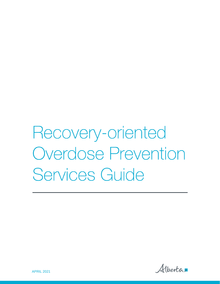Recovery-oriented **Overdose Prevention** Services Guide

Alberta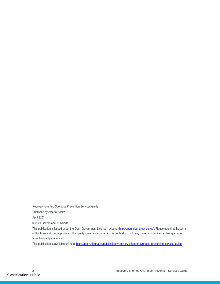Recovery-oriented Overdose Prevention Services Guide

Published by Alberta Health

April 2021

© 2021 Government of Alberta

This publication is issued under the Open Government Licence - Alberta [\(http://open.alberta.ca/licence\).](http://open.alberta.ca/licence) Please note that the terms of this licence do not apply to any third-party materials included in this publication, or to any materials identified as being adapted from third-party materials.

This publication is available online a[t https://open.alberta.ca/publications/recovery-oriented-overdose-prevention-services-guide](https://open.alberta.ca/publications/recovery-oriented-overdose-prevention-services-guide)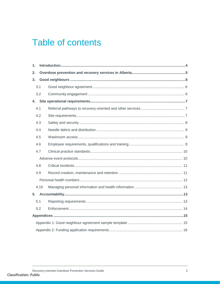# **Table of contents**

| 1. |      |  |  |  |  |
|----|------|--|--|--|--|
| 2. |      |  |  |  |  |
| 3. |      |  |  |  |  |
|    | 3.1  |  |  |  |  |
|    | 3.2  |  |  |  |  |
| 4. |      |  |  |  |  |
|    | 4.1  |  |  |  |  |
|    | 4.2  |  |  |  |  |
|    | 4.3  |  |  |  |  |
|    | 4.4  |  |  |  |  |
|    | 4.5  |  |  |  |  |
|    | 4.6  |  |  |  |  |
|    | 4.7  |  |  |  |  |
|    |      |  |  |  |  |
|    | 4.8  |  |  |  |  |
|    | 4.9  |  |  |  |  |
|    |      |  |  |  |  |
|    | 4.10 |  |  |  |  |
| 5. |      |  |  |  |  |
|    | 5.1  |  |  |  |  |
|    | 5.2  |  |  |  |  |
|    |      |  |  |  |  |
|    |      |  |  |  |  |
|    |      |  |  |  |  |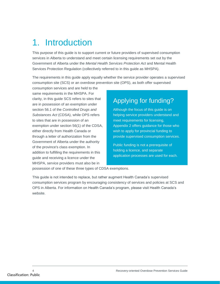# <span id="page-3-0"></span>1. Introduction

This purpose of this guide is to support current or future providers of supervised consumption services in Alberta to understand and meet certain licensing requirements set out by the Government of Alberta under the *Mental Health Services Protection Act* and Mental Health Services Protection Regulation (collectively referred to in this guide as MHSPA).

The requirements in this guide apply equally whether the service provider operates a supervised consumption site (SCS) or an overdose prevention site (OPS), as both offer supervised

consumption services and are held to the same requirements in the MHSPA. For clarity, in this guide SCS refers to sites that are in possession of an exemption under section 56.1 of the *Controlled Drugs and Substances Act* (CDSA), while OPS refers to sites that are in possession of an exemption under section 56(1) of the CDSA, either directly from Health Canada or through a letter of authorization from the Government of Alberta under the authority of the province's class exemption. In addition to fulfilling the requirements in this guide and receiving a licence under the MHSPA, service providers must also be in

# Applying for funding?

Although the focus of this guide is on helping service providers understand and meet requirements for licensing, Appendix 2 offers guidance for those who wish to apply for provincial funding to provide supervised consumption services.

Public funding is not a prerequisite of holding a licence, and separate application processes are used for each.

possession of one of these three types of CDSA exemptions.

This guide is not intended to replace, but rather augment Health Canada's supervised consumption services program by encouraging consistency of services and policies at SCS and OPS in Alberta. For information on Health Canada's program, please visit Health Canada's website.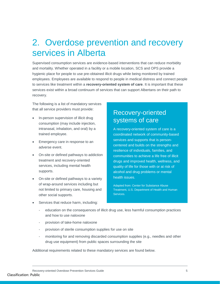# <span id="page-4-0"></span>2. Overdose prevention and recovery services in Alberta

Supervised consumption services are evidence-based interventions that can reduce morbidity and mortality. Whether operated in a facility or a mobile location, SCS and OPS provide a hygienic place for people to use pre-obtained illicit drugs while being monitored by trained employees. Employees are available to respond to people in medical distress and connect people to services like treatment within a **recovery-oriented system of care**. It is important that these services exist within a broad continuum of services that can support Albertans on their path to recovery.

The following is a list of mandatory services that all service providers must provide:

- In-person supervision of illicit drug consumption (may include injection, intranasal, inhalation, and oral) by a trained employee.
- Emergency care in response to an adverse event.
- On-site or defined pathways to addiction treatment and recovery-oriented services, including mental health supports.
- On-site or defined pathways to a variety of wrap-around services including but not limited to primary care, housing and other social supports.

### Recovery-oriented systems of care

A recovery-oriented system of care is a coordinated network of community-based services and supports that is personcentered and builds on the strengths and resilience of individuals, families, and communities to achieve a life free of illicit drugs and improved health, wellness, and quality of life for those with or at risk of alcohol and drug problems or mental health issues.

Adapted from: Center for Substance Abuse Treatment, U.S. Department of Health and Human Services.

- Services that reduce harm, including:
	- education on the consequences of illicit drug use, less harmful consumption practices and how to use naloxone
	- provision of take-home naloxone
	- provision of sterile consumption supplies for use on site
	- monitoring for and removing discarded consumption supplies (e.g., needles and other drug use equipment) from public spaces surrounding the site

Additional requirements related to these mandatory services are found below.

Recovery-oriented Overdose Prevention Services Guide 5 Classification: Public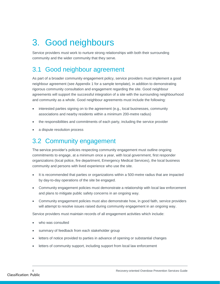# <span id="page-5-0"></span>3. Good neighbours

Service providers must work to nurture strong relationships with both their surrounding community and the wider community that they serve.

# <span id="page-5-1"></span>3.1 Good neighbour agreement

As part of a broader community engagement policy, service providers must implement a good neighbour agreement (see Appendix 1 for a sample template), in addition to demonstrating rigorous community consultation and engagement regarding the site. Good neighbour agreements will support the successful integration of a site with the surrounding neighbourhood and community as a whole. Good neighbour agreements must include the following:

- interested parties signing on to the agreement (e.g., local businesses, community associations and nearby residents within a minimum 200-metre radius)
- the responsibilities and commitments of each party, including the service provider
- a dispute resolution process

## <span id="page-5-2"></span>3.2 Community engagement

The service provider's policies respecting community engagement must outline ongoing commitments to engage, at a minimum once a year, with local government, first responder organizations (local police, fire department, Emergency Medical Services), the local business community and persons with lived experience who use the site.

- It is recommended that parties or organizations within a 500-metre radius that are impacted by day-to-day operations of the site be engaged.
- Community engagement policies must demonstrate a relationship with local law enforcement and plans to mitigate public safety concerns in an ongoing way.
- Community engagement policies must also demonstrate how, in good faith, service providers will attempt to resolve issues raised during community engagement in an ongoing way.

Service providers must maintain records of all engagement activities which include:

- who was consulted
- summary of feedback from each stakeholder group
- letters of notice provided to parties in advance of opening or substantial changes
- letters of community support, including support from local law enforcement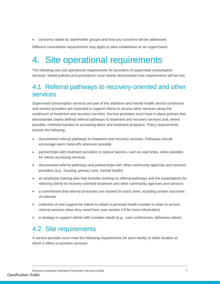concerns raised by stakeholder groups and how any concerns will be addressed

Different consultation requirements may apply to sites established on an urgent basis.

# <span id="page-6-0"></span>4. Site operational requirements

The following sets out operational requirements for providers of supervised consumption services. Noted policies and procedures must clearly demonstrate how requirements will be met.

## <span id="page-6-1"></span>4.1 Referral pathways to recovery-oriented and other services

Supervised consumption services are part of the addiction and mental health service continuum and service providers are expected to support clients to access other services along the continuum of treatment and recovery services. Service providers must have in place policies that demonstrate clearly defined referral pathways to treatment and recovery services and, where possible, minimize barriers to accessing detox and treatment programs. Policy requirements include the following:

- documented referral pathways to treatment and recovery services. Pathways should encourage warm hand-offs wherever possible
- partnerships with treatment providers to reduce barriers, such as wait times, when possible, for clients accessing services
- documented referral pathways and partnerships with other community agencies and services providers (e.g., housing, primary care, mental health)
- an employee training plan that includes training on referral pathways and the expectations for referring clients to recovery-oriented treatment and other community agencies and services
- a commitment that referral processes are tracked for each client, including known outcomes of referrals
- collection of and support for clients to obtain a personal health number in order to access referral services when they need them (see section 4.9 for more information)
- a strategy to support clients with complex needs (e.g., care conferences, behaviour plans)

## <span id="page-6-2"></span>4.2 Site requirements

A service provider must meet the following requirements for each facility or other location at which it offers or provides services: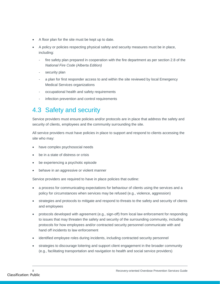- A floor plan for the site must be kept up to date.
- A policy or policies respecting physical safety and security measures must be in place, including:
	- fire safety plan prepared in cooperation with the fire department as per section 2.8 of the *National Fire Code (Alberta Edition)*
	- security plan
	- a plan for first responder access to and within the site reviewed by local Emergency Medical Services organizations
	- occupational health and safety requirements
	- infection prevention and control requirements

# <span id="page-7-0"></span>4.3 Safety and security

Service providers must ensure policies and/or protocols are in place that address the safety and security of clients, employees and the community surrounding the site.

All service providers must have policies in place to support and respond to clients accessing the site who may:

- have complex psychosocial needs
- be in a state of distress or crisis
- be experiencing a psychotic episode
- behave in an aggressive or violent manner

Service providers are required to have in place policies that outline:

- a process for communicating expectations for behaviour of clients using the services and a policy for circumstances when services may be refused (e.g., violence, aggression)
- strategies and protocols to mitigate and respond to threats to the safety and security of clients and employees
- protocols developed with agreement (e.g., sign-off) from local law enforcement for responding to issues that may threaten the safety and security of the surrounding community, including protocols for how employees and/or contracted security personnel communicate with and hand off incidents to law enforcement
- identified employee roles during incidents, including contracted security personnel
- strategies to discourage loitering and support client engagement in the broader community (e.g., facilitating transportation and navigation to health and social service providers)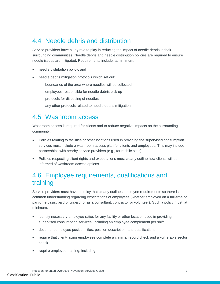## <span id="page-8-0"></span>4.4 Needle debris and distribution

Service providers have a key role to play in reducing the impact of needle debris in their surrounding communities. Needle debris and needle distribution policies are required to ensure needle issues are mitigated. Requirements include, at minimum:

- needle distribution policy, and
- needle debris mitigation protocols which set out:
	- boundaries of the area where needles will be collected
	- employees responsible for needle debris pick up
	- protocols for disposing of needles
	- any other protocols related to needle debris mitigation

### <span id="page-8-1"></span>4.5 Washroom access

Washroom access is required for clients and to reduce negative impacts on the surrounding community.

- Policies relating to facilities or other locations used in providing the supervised consumption services must include a washroom access plan for clients and employees. This may include partnerships with nearby service providers (e.g., for mobile sites).
- Policies respecting client rights and expectations must clearly outline how clients will be informed of washroom access options.

## <span id="page-8-2"></span>4.6 Employee requirements, qualifications and training

Service providers must have a policy that clearly outlines employee requirements so there is a common understanding regarding expectations of employees (whether employed on a full-time or part-time basis, paid or unpaid, or as a consultant, contractor or volunteer). Such a policy must, at minimum:

- identify necessary employee ratios for any facility or other location used in providing supervised consumption services, including an employee complement per shift
- document employee position titles, position description, and qualifications
- require that client-facing employees complete a criminal record check and a vulnerable sector check
- require employee training, including: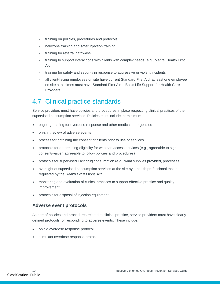- training on policies, procedures and protocols
- naloxone training and safer injection training
- training for referral pathways
- training to support interactions with clients with complex needs (e.g., Mental Health First Aid)
- training for safety and security in response to aggressive or violent incidents
- all client-facing employees on site have current Standard First Aid; at least one employee on site at all times must have Standard First Aid – Basic Life Support for Health Care **Providers**

# <span id="page-9-0"></span>4.7 Clinical practice standards

Service providers must have policies and procedures in place respecting clinical practices of the supervised consumption services. Policies must include, at minimum:

- ongoing training for overdose response and other medical emergencies
- on-shift review of adverse events
- process for obtaining the consent of clients prior to use of services
- protocols for determining eligibility for who can access services (e.g., agreeable to sign consent/waiver, agreeable to follow policies and procedures)
- protocols for supervised illicit drug consumption (e.g., what supplies provided, processes)
- oversight of supervised consumption services at the site by a health professional that is regulated by the *Health Professions Act.*
- monitoring and evaluation of clinical practices to support effective practice and quality improvement
- protocols for disposal of injection equipment

### <span id="page-9-1"></span>**Adverse event protocols**

As part of policies and procedures related to clinical practice, service providers must have clearly defined protocols for responding to adverse events. These include:

- opioid overdose response protocol
- stimulant overdose response protocol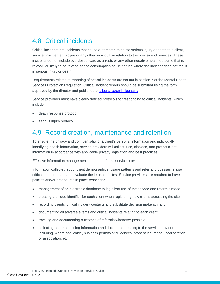## <span id="page-10-0"></span>4.8 Critical incidents

Critical incidents are incidents that cause or threaten to cause serious injury or death to a client, service provider, employee or any other individual in relation to the provision of services. These incidents do not include overdoses, cardiac arrests or any other negative health outcome that is related, or likely to be related, to the consumption of illicit drugs where the incident does not result in serious injury or death.

Requirements related to reporting of critical incidents are set out in section 7 of the Mental Health Services Protection Regulation. Critical incident reports should be submitted using the form approved by the director and published at [alberta.ca/amh-licensing.](https://alberta.ca/amh-licensing)

Service providers must have clearly defined protocols for responding to critical incidents, which include:

- death response protocol
- serious injury protocol

### <span id="page-10-1"></span>4.9 Record creation, maintenance and retention

To ensure the privacy and confidentiality of a client's personal information and individually identifying health information, service providers will collect, use, disclose, and protect client information in accordance with applicable privacy legislation and best practices.

Effective information management is required for all service providers.

Information collected about client demographics, usage patterns and referral processes is also critical to understand and evaluate the impact of sites. Service providers are required to have policies and/or procedures in place respecting:

- management of an electronic database to log client use of the service and referrals made
- creating a unique identifier for each client when registering new clients accessing the site
- recording clients' critical incident contacts and substitute decision makers, if any
- documenting all adverse events and critical incidents relating to each client
- tracking and documenting outcomes of referrals whenever possible
- collecting and maintaining information and documents relating to the service provider including, where applicable, business permits and licences, proof of insurance, incorporation or association, etc.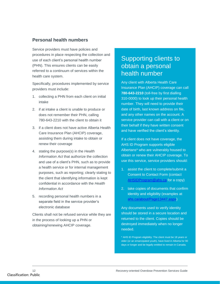### <span id="page-11-0"></span>**Personal health numbers**

Service providers must have policies and procedures in place respecting the collection and use of each client's personal health number (PHN). This ensures clients can be easily referred to a continuum of services within the health care system.

Specifically, procedures implemented by service providers must include:

- 1. collecting a PHN from each client on initial intake
- 2. if at intake a client is unable to produce or does not remember their PHN, calling 780-643-2210 with the client to obtain it
- 3. if a client does not have active Alberta Health Care Insurance Plan (AHCIP) coverage, assisting them during intake to obtain or renew their coverage
- 4. stating the purpose(s) in the *Health Information Act* that authorize the collection and use of a client's PHN, such as to provide a health service or for internal management purposes, such as reporting; clearly stating to the client that identifying information is kept confidential in accordance with the *Health Information Act*
- 5. recording personal health numbers in a separate field in the service provider's electronic database

Clients shall not be refused service while they are in the process of looking up a PHN or obtaining/renewing AHCIP coverage.

### Supporting clients to obtain a personal health number

Any client with Alberta Health Care Insurance Plan (AHCIP) coverage can call **780-643-2210** (toll-free by first dialling 310-0000) to look up their personal health number. They will need to provide their date of birth, last known address on file, and any other names on the account. A service provider can call with a client or on their behalf if they have written consent and have verified the client's identity.

If a client does not have coverage, the AHS ID Program supports eligible Albertans\* who are vulnerably housed to obtain or renew their AHCIP coverage. To use this service, service providers should:

- 1. assist the client to complete/submit a Consent to Contact Form (contact [AHSIDProgram@ahs.ca](mailto:AHSIDProgram@ahs.ca) for a copy)
- 2. take copies of documents that confirm identity and eligibility (examples at [ahs.ca/about/Page13447.aspx\)](https://www.albertahealthservices.ca/about/Page13447.aspx)

Any documents used to verify identity should be stored in a secure location and returned to the client. Copies should be destroyed immediately when no longer needed.

\* AHS ID Program eligibility: The client must be 18 years or older (or an emancipated youth), have lived in Alberta for 90 days or longer and be legally entitled to remain in Canada.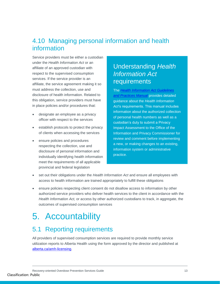## <span id="page-12-0"></span>4.10 Managing personal information and health information

Service providers must be either a custodian under the *Health Information Act* or an affiliate of an approved custodian with respect to the supervised consumption services. If the service provider is an affiliate, the service agreement making it so must address the collection, use and disclosure of health information. Related to this obligation, service providers must have in place policies and/or procedures that:

- designate an employee as a privacy officer with respect to the services
- establish protocols to protect the privacy of clients when accessing the services
- ensure policies and procedures respecting the collection, use and disclosure of personal information and individually identifying health information meet the requirements of all applicable provincial and federal legislation

### Understanding *Health Information Act* requirements

The *[Health Information Act Guidelines](https://open.alberta.ca/publications/9780778582922)  [and Practices Manual](https://open.alberta.ca/publications/9780778582922)* provides detailed guidance about the *Health Information Act*'s requirements. This manual includes information about the authorized collection of personal health numbers as well as a custodian's duty to submit a Privacy Impact Assessment to the Office of the Information and Privacy Commissioner for review and comment before implementing a new, or making changes to an existing, information system or administrative practice.

- set out their obligations under the *Health Information Act* and ensure all employees with access to health information are trained appropriately to fulfill these obligations
- ensure policies respecting client consent do not disallow access to information by other authorized service providers who deliver health services to the client in accordance with the *Health Information Act,* or access by other authorized custodians to track, in aggregate, the outcomes of supervised consumption services

# <span id="page-12-1"></span>5. Accountability

## <span id="page-12-2"></span>5.1 Reporting requirements

All providers of supervised consumption services are required to provide monthly service utilization reports to Alberta Health using the form approved by the director and published at [alberta.ca/amh-licensing.](https://alberta.ca/amh-licensing)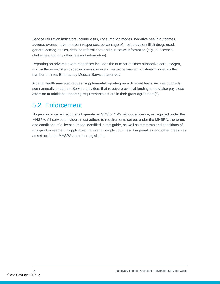Service utilization indicators include visits, consumption modes, negative health outcomes, adverse events, adverse event responses, percentage of most prevalent illicit drugs used, general demographics, detailed referral data and qualitative information (e.g., successes, challenges and any other relevant information).

Reporting on adverse event responses includes the number of times supportive care, oxygen, and, in the event of a suspected overdose event, naloxone was administered as well as the number of times Emergency Medical Services attended.

Alberta Health may also request supplemental reporting on a different basis such as quarterly, semi-annually or ad hoc. Service providers that receive provincial funding should also pay close attention to additional reporting requirements set out in their grant agreement(s).

# <span id="page-13-0"></span>5.2 Enforcement

No person or organization shall operate an SCS or OPS without a licence, as required under the MHSPA. All service providers must adhere to requirements set out under the MHSPA, the terms and conditions of a licence, those identified in this guide, as well as the terms and conditions of any grant agreement if applicable. Failure to comply could result in penalties and other measures as set out in the MHSPA and other legislation.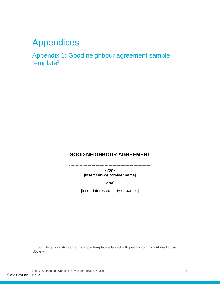# <span id="page-14-0"></span>Appendices

<span id="page-14-1"></span>Appendix 1: Good neighbour agreement sample template<sup>1</sup>

### **GOOD NEIGHBOUR AGREEMENT**

**--------------------------------------------------------------** *- for -* [insert service provider name]

*- and -*

[insert interested party or parties]

**--------------------------------------------------------------**

 $\overline{a}$ 

<sup>&</sup>lt;sup>1</sup> Good Neighbour Agreement sample template adapted with permission from Alpha House Society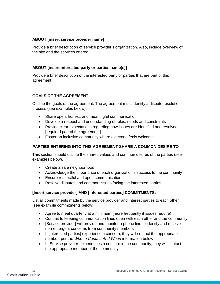### **ABOUT [insert service provider name]**

Provide a brief description of service provider's organization. Also, include overview of the site and the services offered.

### **ABOUT [insert interested party or parties name(s)]**

Provide a brief description of the interested party or parties that are part of this agreement.

### **GOALS OF THE AGREEMENT**

Outline the goals of the agreement. The agreement must identify a dispute resolution process (see examples below).

- Share open, honest, and meaningful communication
- Develop a respect and understanding of roles, needs and constraints
- Provide clear expectations regarding how issues are identified and resolved [required part of the agreement]
- Foster an inclusive community where everyone feels welcome

#### **PARTIES ENTERING INTO THIS AGREEMENT SHARE A COMMON DESIRE TO**

This section should outline the shared values and common desires of the parties (see examples below).

- Create a safe neighborhood
- Acknowledge the importance of each organization's success to the community
- Ensure respectful and open communication
- Resolve disputes and common issues facing the interested parties

#### **[Insert service provider] AND [interested parties] COMMITMENTS:**

List all commitments made by the service provider and interest parties to each other (see example commitments below).

- Agree to meet quarterly at a minimum (more frequently if issues require)
- Commit to keeping communication lines open with each other and the community
- [Service provider] will provide and monitor a phone line to identify and resolve non-emergent concerns from community members
- If [interested parties] experience a concern, they will contact the appropriate number, per the *Who to Contact And When* information below
- If [Service provider] experiences a concern in the community, they will contact the appropriate member of the community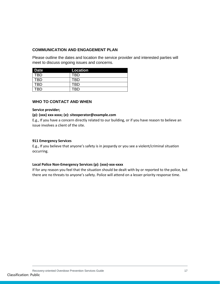#### **COMMUNICATION AND ENGAGEMENT PLAN**

Please outline the dates and location the service provider and interested parties will meet to discuss ongoing issues and concerns.

| <b>Date</b> | Location |
|-------------|----------|
| TRD         | TRD      |
| TRD         | TRD      |
| TRD         | FRD      |
| rrn         | חם       |

#### **WHO TO CONTACT AND WHEN**

#### **Service provider;**

#### **(p): (xxx) xxx-xxxx; (e): siteoperator@example.com**

E.g., If you have a concern directly related to our building, or if you have reason to believe an issue involves a client of the site.

#### **911 Emergency Services**

E.g., If you believe that anyone's safety is in jeopardy or you see a violent/criminal situation occurring.

#### **Local Police Non-Emergency Services (p): (xxx)-xxx-xxxx**

If for any reason you feel that the situation should be dealt with by or reported to the police, but there are no threats to anyone's safety. Police will attend on a lesser-priority response time.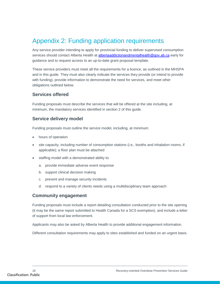# <span id="page-17-0"></span>Appendix 2: Funding application requirements

Any service provider intending to apply for provincial funding to deliver supervised consumption services should contact Alberta Health at **albertaaddictionandmentalhealth@gov.ab.ca** early for guidance and to request access to an up-to-date grant proposal template.

These service providers must meet all the requirements for a licence, as outlined in the MHSPA and in this guide. They must also clearly indicate the services they provide (or intend to provide with funding), provide information to demonstrate the need for services, and meet other obligations outlined below.

### **Services offered**

Funding proposals must describe the services that will be offered at the site including, at minimum, the mandatory services identified in section 2 of this guide.

### **Service delivery model**

Funding proposals must outline the service model, including, at minimum:

- hours of operation
- site capacity, including number of consumption stations (i.e., booths and inhalation rooms, if applicable); a floor plan must be attached
- staffing model with a demonstrated ability to:
	- a. provide immediate adverse event response
	- b. support clinical decision making
	- c. prevent and manage security incidents
	- d. respond to a variety of clients needs using a multidisciplinary team approach

### **Community engagement**

Funding proposals must include a report detailing consultation conducted prior to the site opening (it may be the same report submitted to Health Canada for a SCS exemption), and include a letter of support from local law enforcement.

Applicants may also be asked by Alberta Health to provide additional engagement information.

Different consultation requirements may apply to sites established and funded on an urgent basis.